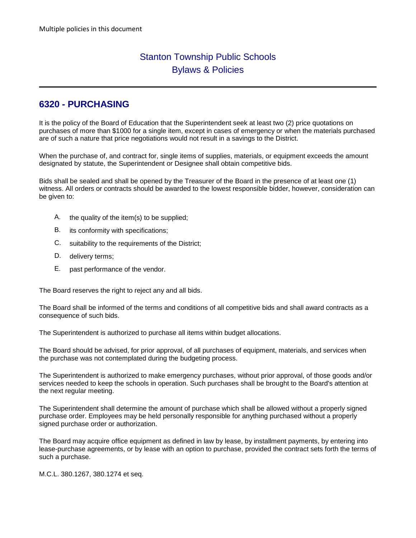# Stanton Township Public Schools Bylaws & Policies

# **6320 - PURCHASING**

It is the policy of the Board of Education that the Superintendent seek at least two (2) price quotations on purchases of more than \$1000 for a single item, except in cases of emergency or when the materials purchased are of such a nature that price negotiations would not result in a savings to the District.

When the purchase of, and contract for, single items of supplies, materials, or equipment exceeds the amount designated by statute, the Superintendent or Designee shall obtain competitive bids.

Bids shall be sealed and shall be opened by the Treasurer of the Board in the presence of at least one (1) witness. All orders or contracts should be awarded to the lowest responsible bidder, however, consideration can be given to:

- A. the quality of the item(s) to be supplied;
- B. its conformity with specifications;
- C. suitability to the requirements of the District;
- D. delivery terms;
- E. past performance of the vendor.

The Board reserves the right to reject any and all bids.

The Board shall be informed of the terms and conditions of all competitive bids and shall award contracts as a consequence of such bids.

The Superintendent is authorized to purchase all items within budget allocations.

The Board should be advised, for prior approval, of all purchases of equipment, materials, and services when the purchase was not contemplated during the budgeting process.

The Superintendent is authorized to make emergency purchases, without prior approval, of those goods and/or services needed to keep the schools in operation. Such purchases shall be brought to the Board's attention at the next regular meeting.

The Superintendent shall determine the amount of purchase which shall be allowed without a properly signed purchase order. Employees may be held personally responsible for anything purchased without a properly signed purchase order or authorization.

The Board may acquire office equipment as defined in law by lease, by installment payments, by entering into lease-purchase agreements, or by lease with an option to purchase, provided the contract sets forth the terms of such a purchase.

M.C.L. 380.1267, 380.1274 et seq.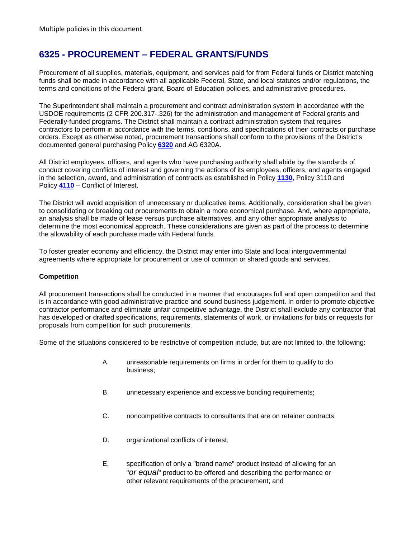# **6325 - PROCUREMENT – FEDERAL GRANTS/FUNDS**

Procurement of all supplies, materials, equipment, and services paid for from Federal funds or District matching funds shall be made in accordance with all applicable Federal, State, and local statutes and/or regulations, the terms and conditions of the Federal grant, Board of Education policies, and administrative procedures.

The Superintendent shall maintain a procurement and contract administration system in accordance with the USDOE requirements (2 CFR 200.317-.326) for the administration and management of Federal grants and Federally-funded programs. The District shall maintain a contract administration system that requires contractors to perform in accordance with the terms, conditions, and specifications of their contracts or purchase orders. Except as otherwise noted, procurement transactions shall conform to the provisions of the District's documented general purchasing Policy **[6320](http://www.neola.com/stanton-mi/search/policies/po6320.htm)** and AG 6320A.

All District employees, officers, and agents who have purchasing authority shall abide by the standards of conduct covering conflicts of interest and governing the actions of its employees, officers, and agents engaged in the selection, award, and administration of contracts as established in Policy **[1130](http://www.neola.com/stanton-mi/search/policies/po1130.htm)**, Policy 3110 and Policy **[4110](http://www.neola.com/stanton-mi/search/policies/po4110.htm)** – Conflict of Interest.

The District will avoid acquisition of unnecessary or duplicative items. Additionally, consideration shall be given to consolidating or breaking out procurements to obtain a more economical purchase. And, where appropriate, an analysis shall be made of lease versus purchase alternatives, and any other appropriate analysis to determine the most economical approach. These considerations are given as part of the process to determine the allowability of each purchase made with Federal funds.

To foster greater economy and efficiency, the District may enter into State and local intergovernmental agreements where appropriate for procurement or use of common or shared goods and services.

## **Competition**

All procurement transactions shall be conducted in a manner that encourages full and open competition and that is in accordance with good administrative practice and sound business judgement. In order to promote objective contractor performance and eliminate unfair competitive advantage, the District shall exclude any contractor that has developed or drafted specifications, requirements, statements of work, or invitations for bids or requests for proposals from competition for such procurements.

Some of the situations considered to be restrictive of competition include, but are not limited to, the following:

- A. unreasonable requirements on firms in order for them to qualify to do business;
- B. unnecessary experience and excessive bonding requirements;
- C. noncompetitive contracts to consultants that are on retainer contracts;
- D. organizational conflicts of interest;
- E. specification of only a "brand name" product instead of allowing for an "*or equal*" product to be offered and describing the performance or other relevant requirements of the procurement; and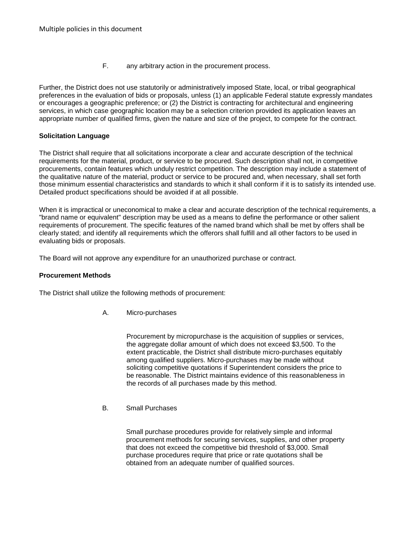F. any arbitrary action in the procurement process.

Further, the District does not use statutorily or administratively imposed State, local, or tribal geographical preferences in the evaluation of bids or proposals, unless (1) an applicable Federal statute expressly mandates or encourages a geographic preference; or (2) the District is contracting for architectural and engineering services, in which case geographic location may be a selection criterion provided its application leaves an appropriate number of qualified firms, given the nature and size of the project, to compete for the contract.

### **Solicitation Language**

The District shall require that all solicitations incorporate a clear and accurate description of the technical requirements for the material, product, or service to be procured. Such description shall not, in competitive procurements, contain features which unduly restrict competition. The description may include a statement of the qualitative nature of the material, product or service to be procured and, when necessary, shall set forth those minimum essential characteristics and standards to which it shall conform if it is to satisfy its intended use. Detailed product specifications should be avoided if at all possible.

When it is impractical or uneconomical to make a clear and accurate description of the technical requirements, a "brand name or equivalent" description may be used as a means to define the performance or other salient requirements of procurement. The specific features of the named brand which shall be met by offers shall be clearly stated; and identify all requirements which the offerors shall fulfill and all other factors to be used in evaluating bids or proposals.

The Board will not approve any expenditure for an unauthorized purchase or contract.

### **Procurement Methods**

The District shall utilize the following methods of procurement:

A. Micro-purchases

Procurement by micropurchase is the acquisition of supplies or services, the aggregate dollar amount of which does not exceed \$3,500. To the extent practicable, the District shall distribute micro-purchases equitably among qualified suppliers. Micro-purchases may be made without soliciting competitive quotations if Superintendent considers the price to be reasonable. The District maintains evidence of this reasonableness in the records of all purchases made by this method.

B. Small Purchases

Small purchase procedures provide for relatively simple and informal procurement methods for securing services, supplies, and other property that does not exceed the competitive bid threshold of \$3,000. Small purchase procedures require that price or rate quotations shall be obtained from an adequate number of qualified sources.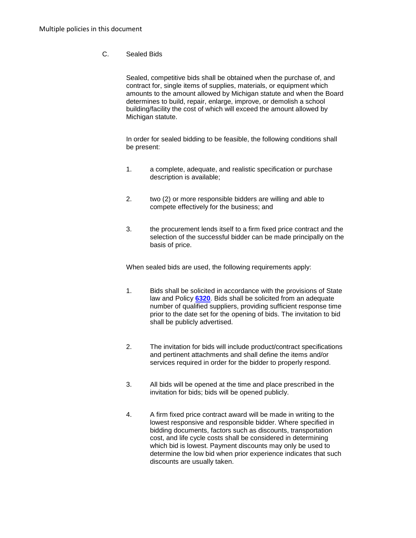# C. Sealed Bids

Sealed, competitive bids shall be obtained when the purchase of, and contract for, single items of supplies, materials, or equipment which amounts to the amount allowed by Michigan statute and when the Board determines to build, repair, enlarge, improve, or demolish a school building/facility the cost of which will exceed the amount allowed by Michigan statute.

In order for sealed bidding to be feasible, the following conditions shall be present:

- 1. a complete, adequate, and realistic specification or purchase description is available;
- 2. two (2) or more responsible bidders are willing and able to compete effectively for the business; and
- 3. the procurement lends itself to a firm fixed price contract and the selection of the successful bidder can be made principally on the basis of price.

When sealed bids are used, the following requirements apply:

- 1. Bids shall be solicited in accordance with the provisions of State law and Policy **[6320](http://www.neola.com/stanton-mi/search/policies/po6320.htm)**. Bids shall be solicited from an adequate number of qualified suppliers, providing sufficient response time prior to the date set for the opening of bids. The invitation to bid shall be publicly advertised.
- 2. The invitation for bids will include product/contract specifications and pertinent attachments and shall define the items and/or services required in order for the bidder to properly respond.
- 3. All bids will be opened at the time and place prescribed in the invitation for bids; bids will be opened publicly.
- 4. A firm fixed price contract award will be made in writing to the lowest responsive and responsible bidder. Where specified in bidding documents, factors such as discounts, transportation cost, and life cycle costs shall be considered in determining which bid is lowest. Payment discounts may only be used to determine the low bid when prior experience indicates that such discounts are usually taken.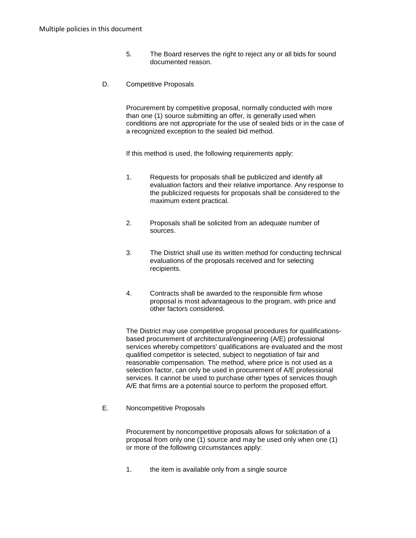- 5. The Board reserves the right to reject any or all bids for sound documented reason.
- D. Competitive Proposals

Procurement by competitive proposal, normally conducted with more than one (1) source submitting an offer, is generally used when conditions are not appropriate for the use of sealed bids or in the case of a recognized exception to the sealed bid method.

If this method is used, the following requirements apply:

- 1. Requests for proposals shall be publicized and identify all evaluation factors and their relative importance. Any response to the publicized requests for proposals shall be considered to the maximum extent practical.
- 2. Proposals shall be solicited from an adequate number of sources.
- 3. The District shall use its written method for conducting technical evaluations of the proposals received and for selecting recipients.
- 4. Contracts shall be awarded to the responsible firm whose proposal is most advantageous to the program, with price and other factors considered.

The District may use competitive proposal procedures for qualificationsbased procurement of architectural/engineering (A/E) professional services whereby competitors' qualifications are evaluated and the most qualified competitor is selected, subject to negotiation of fair and reasonable compensation. The method, where price is not used as a selection factor, can only be used in procurement of A/E professional services. It cannot be used to purchase other types of services though A/E that firms are a potential source to perform the proposed effort.

E. Noncompetitive Proposals

Procurement by noncompetitive proposals allows for solicitation of a proposal from only one (1) source and may be used only when one (1) or more of the following circumstances apply:

1. the item is available only from a single source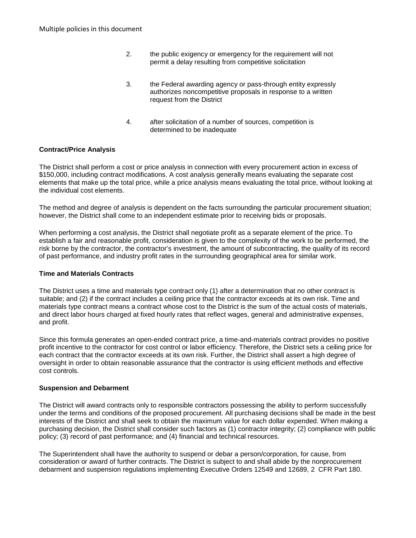- 2. the public exigency or emergency for the requirement will not permit a delay resulting from competitive solicitation
- 3. the Federal awarding agency or pass-through entity expressly authorizes noncompetitive proposals in response to a written request from the District
- 4. after solicitation of a number of sources, competition is determined to be inadequate

### **Contract/Price Analysis**

The District shall perform a cost or price analysis in connection with every procurement action in excess of \$150,000, including contract modifications. A cost analysis generally means evaluating the separate cost elements that make up the total price, while a price analysis means evaluating the total price, without looking at the individual cost elements.

The method and degree of analysis is dependent on the facts surrounding the particular procurement situation; however, the District shall come to an independent estimate prior to receiving bids or proposals.

When performing a cost analysis, the District shall negotiate profit as a separate element of the price. To establish a fair and reasonable profit, consideration is given to the complexity of the work to be performed, the risk borne by the contractor, the contractor's investment, the amount of subcontracting, the quality of its record of past performance, and industry profit rates in the surrounding geographical area for similar work.

### **Time and Materials Contracts**

The District uses a time and materials type contract only (1) after a determination that no other contract is suitable; and (2) if the contract includes a ceiling price that the contractor exceeds at its own risk. Time and materials type contract means a contract whose cost to the District is the sum of the actual costs of materials, and direct labor hours charged at fixed hourly rates that reflect wages, general and administrative expenses, and profit.

Since this formula generates an open-ended contract price, a time-and-materials contract provides no positive profit incentive to the contractor for cost control or labor efficiency. Therefore, the District sets a ceiling price for each contract that the contractor exceeds at its own risk. Further, the District shall assert a high degree of oversight in order to obtain reasonable assurance that the contractor is using efficient methods and effective cost controls.

#### **Suspension and Debarment**

The District will award contracts only to responsible contractors possessing the ability to perform successfully under the terms and conditions of the proposed procurement. All purchasing decisions shall be made in the best interests of the District and shall seek to obtain the maximum value for each dollar expended. When making a purchasing decision, the District shall consider such factors as (1) contractor integrity; (2) compliance with public policy; (3) record of past performance; and (4) financial and technical resources.

The Superintendent shall have the authority to suspend or debar a person/corporation, for cause, from consideration or award of further contracts. The District is subject to and shall abide by the nonprocurement debarment and suspension regulations implementing Executive Orders 12549 and 12689, 2 CFR Part 180.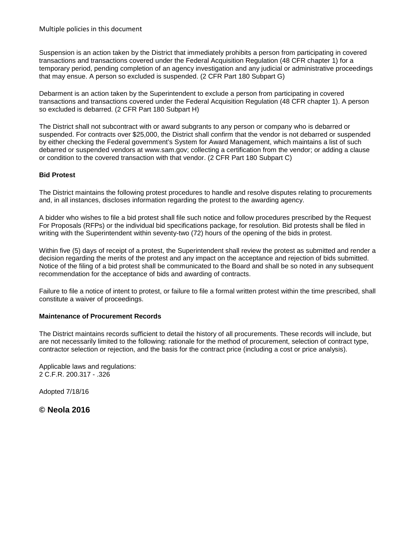Suspension is an action taken by the District that immediately prohibits a person from participating in covered transactions and transactions covered under the Federal Acquisition Regulation (48 CFR chapter 1) for a temporary period, pending completion of an agency investigation and any judicial or administrative proceedings that may ensue. A person so excluded is suspended. (2 CFR Part 180 Subpart G)

Debarment is an action taken by the Superintendent to exclude a person from participating in covered transactions and transactions covered under the Federal Acquisition Regulation (48 CFR chapter 1). A person so excluded is debarred. (2 CFR Part 180 Subpart H)

The District shall not subcontract with or award subgrants to any person or company who is debarred or suspended. For contracts over \$25,000, the District shall confirm that the vendor is not debarred or suspended by either checking the Federal government's System for Award Management, which maintains a list of such debarred or suspended vendors at www.sam.gov; collecting a certification from the vendor; or adding a clause or condition to the covered transaction with that vendor. (2 CFR Part 180 Subpart C)

### **Bid Protest**

The District maintains the following protest procedures to handle and resolve disputes relating to procurements and, in all instances, discloses information regarding the protest to the awarding agency.

A bidder who wishes to file a bid protest shall file such notice and follow procedures prescribed by the Request For Proposals (RFPs) or the individual bid specifications package, for resolution. Bid protests shall be filed in writing with the Superintendent within seventy-two (72) hours of the opening of the bids in protest.

Within five (5) days of receipt of a protest, the Superintendent shall review the protest as submitted and render a decision regarding the merits of the protest and any impact on the acceptance and rejection of bids submitted. Notice of the filing of a bid protest shall be communicated to the Board and shall be so noted in any subsequent recommendation for the acceptance of bids and awarding of contracts.

Failure to file a notice of intent to protest, or failure to file a formal written protest within the time prescribed, shall constitute a waiver of proceedings.

### **Maintenance of Procurement Records**

The District maintains records sufficient to detail the history of all procurements. These records will include, but are not necessarily limited to the following: rationale for the method of procurement, selection of contract type, contractor selection or rejection, and the basis for the contract price (including a cost or price analysis).

Applicable laws and regulations: 2 C.F.R. 200.317 - .326

Adopted 7/18/16

**© Neola 2016**